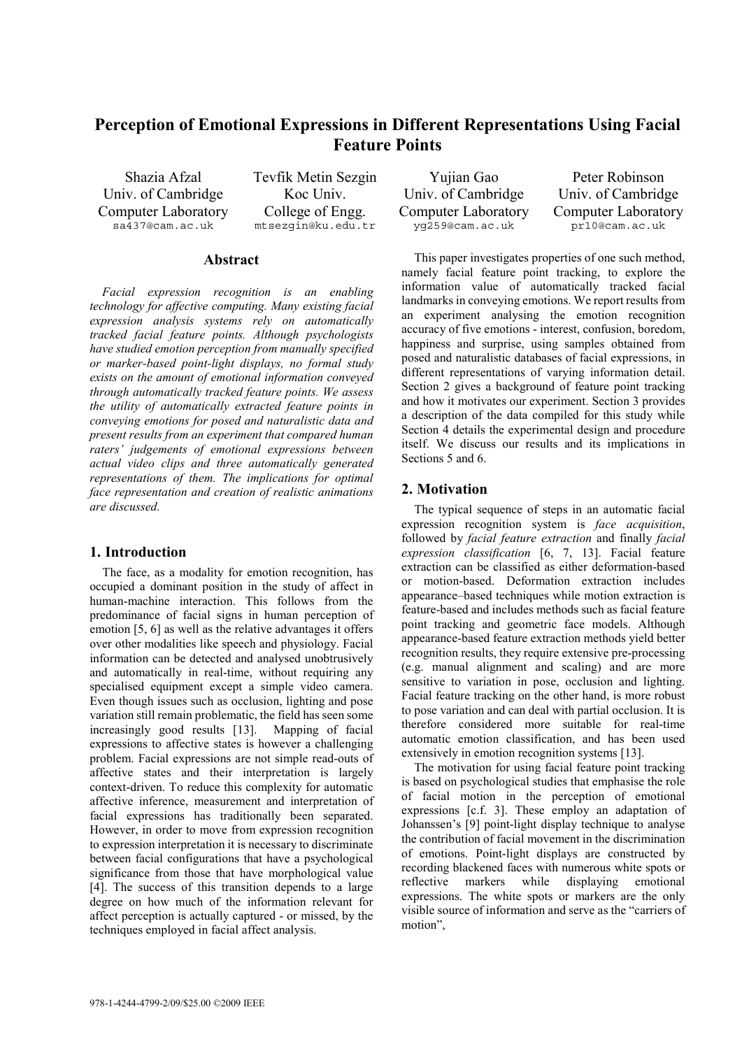# **Perception of Emotional Expressions in Different Representations Using Facial Feature Points**

Shazia Afzal Univ. of Cambridge Computer Laboratory sa437@cam.ac.uk

Tevfik Metin Sezgin Koc Univ. College of Engg. mtsezgin@ku.edu.tr

### **Abstract**

*Facial expression recognition is an enabling technology for affective computing. Many existing facial expression analysis systems rely on automatically tracked facial feature points. Although psychologists have studied emotion perception from manually specified or marker-based point-light displays, no formal study exists on the amount of emotional information conveyed through automatically tracked feature points. We assess the utility of automatically extracted feature points in conveying emotions for posed and naturalistic data and present results from an experiment that compared human raters' judgements of emotional expressions between actual video clips and three automatically generated representations of them. The implications for optimal face representation and creation of realistic animations are discussed.* 

### **1. Introduction**

The face, as a modality for emotion recognition, has occupied a dominant position in the study of affect in human-machine interaction. This follows from the predominance of facial signs in human perception of emotion [5, 6] as well as the relative advantages it offers over other modalities like speech and physiology. Facial information can be detected and analysed unobtrusively and automatically in real-time, without requiring any specialised equipment except a simple video camera. Even though issues such as occlusion, lighting and pose variation still remain problematic, the field has seen some increasingly good results [13]. Mapping of facial expressions to affective states is however a challenging problem. Facial expressions are not simple read-outs of affective states and their interpretation is largely context-driven. To reduce this complexity for automatic affective inference, measurement and interpretation of facial expressions has traditionally been separated. However, in order to move from expression recognition to expression interpretation it is necessary to discriminate between facial configurations that have a psychological significance from those that have morphological value [4]. The success of this transition depends to a large degree on how much of the information relevant for affect perception is actually captured - or missed, by the techniques employed in facial affect analysis.

Yujian Gao Univ. of Cambridge Computer Laboratory yg259@cam.ac.uk

Peter Robinson Univ. of Cambridge Computer Laboratory pr10@cam.ac.uk

This paper investigates properties of one such method, namely facial feature point tracking, to explore the information value of automatically tracked facial landmarks in conveying emotions. We report results from an experiment analysing the emotion recognition accuracy of five emotions - interest, confusion, boredom, happiness and surprise, using samples obtained from posed and naturalistic databases of facial expressions, in different representations of varying information detail. Section 2 gives a background of feature point tracking and how it motivates our experiment. Section 3 provides a description of the data compiled for this study while Section 4 details the experimental design and procedure itself. We discuss our results and its implications in Sections 5 and 6.

## **2. Motivation**

The typical sequence of steps in an automatic facial expression recognition system is *face acquisition*, followed by *facial feature extraction* and finally *facial expression classification* [6, 7, 13]. Facial feature extraction can be classified as either deformation-based or motion-based. Deformation extraction includes appearance–based techniques while motion extraction is feature-based and includes methods such as facial feature point tracking and geometric face models. Although appearance-based feature extraction methods yield better recognition results, they require extensive pre-processing (e.g. manual alignment and scaling) and are more sensitive to variation in pose, occlusion and lighting. Facial feature tracking on the other hand, is more robust to pose variation and can deal with partial occlusion. It is therefore considered more suitable for real-time automatic emotion classification, and has been used extensively in emotion recognition systems [13].

The motivation for using facial feature point tracking is based on psychological studies that emphasise the role of facial motion in the perception of emotional expressions [c.f. 3]. These employ an adaptation of Johanssen's [9] point-light display technique to analyse the contribution of facial movement in the discrimination of emotions. Point-light displays are constructed by recording blackened faces with numerous white spots or reflective markers while displaying emotional expressions. The white spots or markers are the only visible source of information and serve as the "carriers of motion",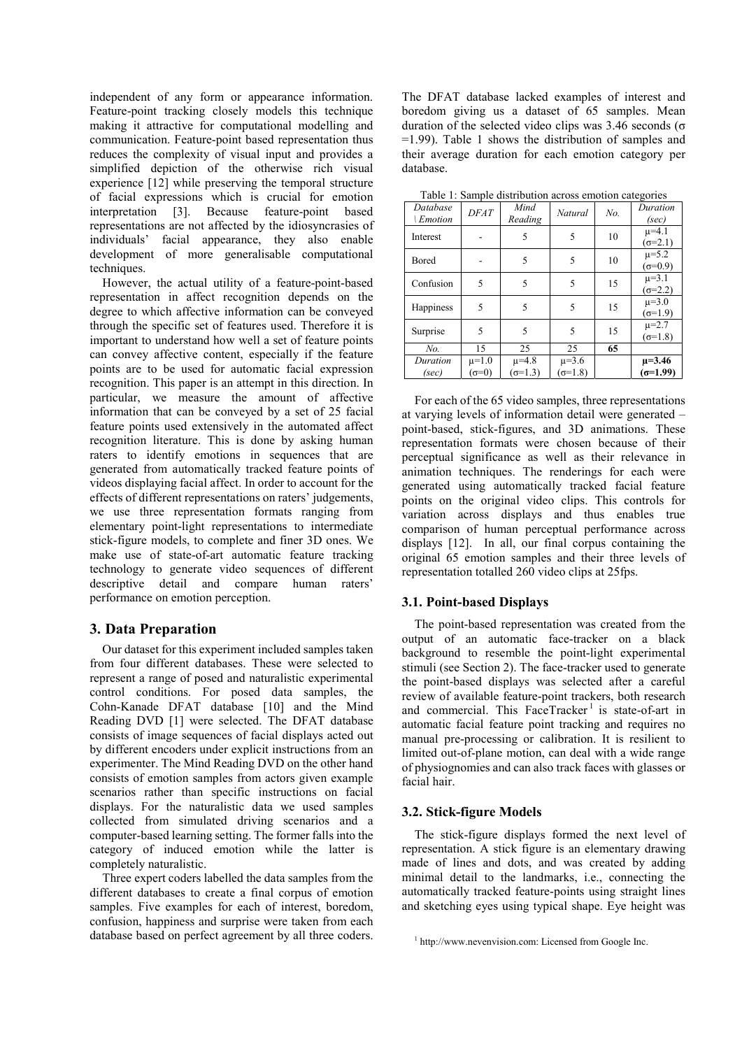independent of any form or appearance information. Feature-point tracking closely models this technique making it attractive for computational modelling and communication. Feature-point based representation thus reduces the complexity of visual input and provides a simplified depiction of the otherwise rich visual experience [12] while preserving the temporal structure of facial expressions which is crucial for emotion interpretation [3]. Because feature-point based representations are not affected by the idiosyncrasies of individuals' facial appearance, they also enable development of more generalisable computational techniques.

However, the actual utility of a feature-point-based representation in affect recognition depends on the degree to which affective information can be conveyed through the specific set of features used. Therefore it is important to understand how well a set of feature points can convey affective content, especially if the feature points are to be used for automatic facial expression recognition. This paper is an attempt in this direction. In particular, we measure the amount of affective information that can be conveyed by a set of 25 facial feature points used extensively in the automated affect recognition literature. This is done by asking human raters to identify emotions in sequences that are generated from automatically tracked feature points of videos displaying facial affect. In order to account for the effects of different representations on raters' judgements, we use three representation formats ranging from elementary point-light representations to intermediate stick-figure models, to complete and finer 3D ones. We make use of state-of-art automatic feature tracking technology to generate video sequences of different descriptive detail and compare human raters' performance on emotion perception.

### **3. Data Preparation**

Our dataset for this experiment included samples taken from four different databases. These were selected to represent a range of posed and naturalistic experimental control conditions. For posed data samples, the Cohn-Kanade DFAT database [10] and the Mind Reading DVD [1] were selected. The DFAT database consists of image sequences of facial displays acted out by different encoders under explicit instructions from an experimenter. The Mind Reading DVD on the other hand consists of emotion samples from actors given example scenarios rather than specific instructions on facial displays. For the naturalistic data we used samples collected from simulated driving scenarios and a computer-based learning setting. The former falls into the category of induced emotion while the latter is completely naturalistic.

Three expert coders labelled the data samples from the different databases to create a final corpus of emotion samples. Five examples for each of interest, boredom, confusion, happiness and surprise were taken from each database based on perfect agreement by all three coders.

The DFAT database lacked examples of interest and boredom giving us a dataset of 65 samples. Mean duration of the selected video clips was 3.46 seconds (σ =1.99). Table 1 shows the distribution of samples and their average duration for each emotion category per database.

| Database<br><i>Emotion</i> | <b>DFAT</b>    | Mind<br>Reading | Natural          | No. | Duration<br>(sec)               |  |
|----------------------------|----------------|-----------------|------------------|-----|---------------------------------|--|
| Interest                   |                | 5               | 5                | 10  | $\mu = 4.1$<br>$(\sigma = 2.1)$ |  |
| Bored                      |                | 5               | 5                | 10  | $\mu = 5.2$<br>$(\sigma = 0.9)$ |  |
| Confusion                  | 5              | 5               | 5                | 15  | $\mu = 3.1$<br>$(\sigma = 2.2)$ |  |
| Happiness                  | 5              | 5               | 5                | 15  | $\mu = 3.0$<br>$(\sigma=1.9)$   |  |
| Surprise                   | 5              | 5               | 5                | 15  | $\mu = 2.7$<br>$(\sigma = 1.8)$ |  |
| No.                        | 15             | 25              | 25               | 65  |                                 |  |
| Duration                   | $\mu = 1.0$    | $\mu = 4.8$     | $\mu = 3.6$      |     | $\mu = 3.46$                    |  |
| (sec)                      | $(\sigma = 0)$ | $(\sigma=1.3)$  | $(\sigma = 1.8)$ |     | $(\sigma=1.99)$                 |  |

Table 1: Sample distribution across emotion categories

For each of the 65 video samples, three representations at varying levels of information detail were generated – point-based, stick-figures, and 3D animations. These representation formats were chosen because of their perceptual significance as well as their relevance in animation techniques. The renderings for each were generated using automatically tracked facial feature points on the original video clips. This controls for variation across displays and thus enables true comparison of human perceptual performance across displays [12]. In all, our final corpus containing the original 65 emotion samples and their three levels of representation totalled 260 video clips at 25fps.

### **3.1. Point-based Displays**

The point-based representation was created from the output of an automatic face-tracker on a black background to resemble the point-light experimental stimuli (see Section 2). The face-tracker used to generate the point-based displays was selected after a careful review of available feature-point trackers, both research and commercial. This FaceTracker<sup>1</sup> is state-of-art in automatic facial feature point tracking and requires no manual pre-processing or calibration. It is resilient to limited out-of-plane motion, can deal with a wide range of physiognomies and can also track faces with glasses or facial hair.

### **3.2. Stick-figure Models**

The stick-figure displays formed the next level of representation. A stick figure is an elementary drawing made of lines and dots, and was created by adding minimal detail to the landmarks, i.e., connecting the automatically tracked feature-points using straight lines and sketching eyes using typical shape. Eye height was

<sup>1</sup> http://www.nevenvision.com: Licensed from Google Inc.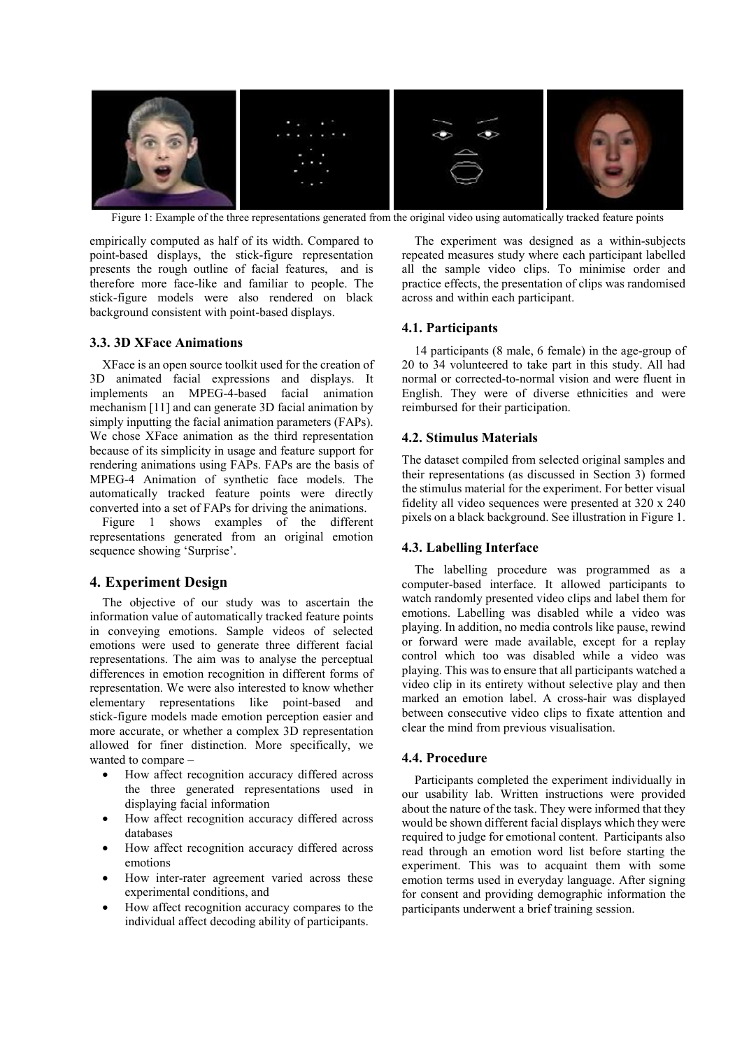

Figure 1: Example of the three representations generated from the original video using automatically tracked feature points

empirically computed as half of its width. Compared to point-based displays, the stick-figure representation presents the rough outline of facial features, and is therefore more face-like and familiar to people. The stick-figure models were also rendered on black background consistent with point-based displays.

#### **3.3. 3D XFace Animations**

XFace is an open source toolkit used for the creation of 3D animated facial expressions and displays. It implements an MPEG-4-based facial animation mechanism [11] and can generate 3D facial animation by simply inputting the facial animation parameters (FAPs). We chose XFace animation as the third representation because of its simplicity in usage and feature support for rendering animations using FAPs. FAPs are the basis of MPEG-4 Animation of synthetic face models. The automatically tracked feature points were directly converted into a set of FAPs for driving the animations.

Figure 1 shows examples of the different representations generated from an original emotion sequence showing 'Surprise'.

### **4. Experiment Design**

The objective of our study was to ascertain the information value of automatically tracked feature points in conveying emotions. Sample videos of selected emotions were used to generate three different facial representations. The aim was to analyse the perceptual differences in emotion recognition in different forms of representation. We were also interested to know whether elementary representations like point-based and stick-figure models made emotion perception easier and more accurate, or whether a complex 3D representation allowed for finer distinction. More specifically, we wanted to compare –

- How affect recognition accuracy differed across the three generated representations used in displaying facial information
- How affect recognition accuracy differed across databases
- How affect recognition accuracy differed across emotions
- How inter-rater agreement varied across these experimental conditions, and
- How affect recognition accuracy compares to the individual affect decoding ability of participants.

The experiment was designed as a within-subjects repeated measures study where each participant labelled all the sample video clips. To minimise order and practice effects, the presentation of clips was randomised across and within each participant.

### **4.1. Participants**

14 participants (8 male, 6 female) in the age-group of 20 to 34 volunteered to take part in this study. All had normal or corrected-to-normal vision and were fluent in English. They were of diverse ethnicities and were reimbursed for their participation.

### **4.2. Stimulus Materials**

The dataset compiled from selected original samples and their representations (as discussed in Section 3) formed the stimulus material for the experiment. For better visual fidelity all video sequences were presented at 320 x 240 pixels on a black background. See illustration in Figure 1.

#### **4.3. Labelling Interface**

The labelling procedure was programmed as a computer-based interface. It allowed participants to watch randomly presented video clips and label them for emotions. Labelling was disabled while a video was playing. In addition, no media controls like pause, rewind or forward were made available, except for a replay control which too was disabled while a video was playing. This was to ensure that all participants watched a video clip in its entirety without selective play and then marked an emotion label. A cross-hair was displayed between consecutive video clips to fixate attention and clear the mind from previous visualisation.

#### **4.4. Procedure**

Participants completed the experiment individually in our usability lab. Written instructions were provided about the nature of the task. They were informed that they would be shown different facial displays which they were required to judge for emotional content. Participants also read through an emotion word list before starting the experiment. This was to acquaint them with some emotion terms used in everyday language. After signing for consent and providing demographic information the participants underwent a brief training session.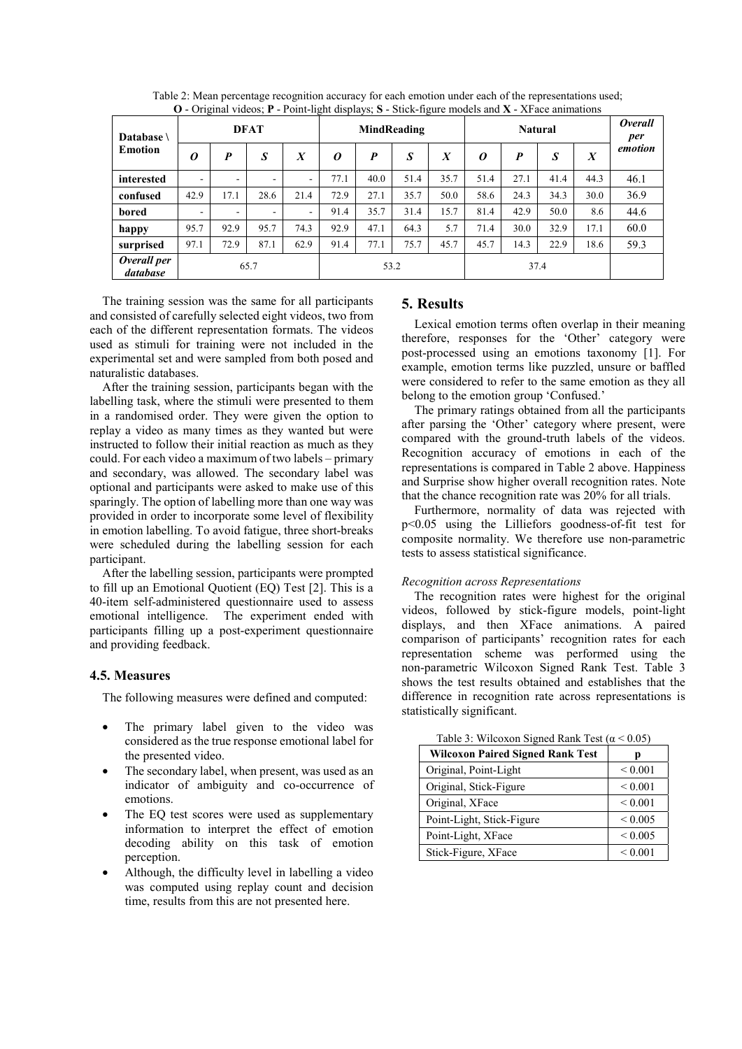| Database                | ້<br><b>DFAT</b>         |                  |                          | -<br>$\overline{\phantom{a}}$<br>MindReading |      |                  | <b>Natural</b> |                  |      |      | <i><b>Overall</b></i><br>per |                  |         |
|-------------------------|--------------------------|------------------|--------------------------|----------------------------------------------|------|------------------|----------------|------------------|------|------|------------------------------|------------------|---------|
| <b>Emotion</b>          | $\boldsymbol{o}$         | $\boldsymbol{P}$ | S                        | $\boldsymbol{X}$                             | 0    | $\boldsymbol{P}$ | S              | $\boldsymbol{X}$ | 0    | P    | S                            | $\boldsymbol{X}$ | emotion |
| interested              | $\overline{\phantom{a}}$ | $\sim$           | $\overline{\phantom{a}}$ | $\blacksquare$                               | 77.1 | 40.0             | 51.4           | 35.7             | 51.4 | 27.1 | 41.4                         | 44.3             | 46.1    |
| confused                | 42.9                     | 17.1             | 28.6                     | 21.4                                         | 72.9 | 27.1             | 35.7           | 50.0             | 58.6 | 24.3 | 34.3                         | 30.0             | 36.9    |
| bored                   | $\sim$                   | ۰.               | $\overline{\phantom{0}}$ | ۰                                            | 91.4 | 35.7             | 31.4           | 15.7             | 81.4 | 42.9 | 50.0                         | 8.6              | 44.6    |
| happy                   | 95.7                     | 92.9             | 95.7                     | 74.3                                         | 92.9 | 47.1             | 64.3           | 5.7              | 71.4 | 30.0 | 32.9                         | 17.1             | 60.0    |
| surprised               | 97.1                     | 72.9             | 87.1                     | 62.9                                         | 91.4 | 77.1             | 75.7           | 45.7             | 45.7 | 14.3 | 22.9                         | 18.6             | 59.3    |
| Overall per<br>database |                          |                  | 65.7                     |                                              |      | 53.2             |                |                  |      |      | 37.4                         |                  |         |

Table 2: Mean percentage recognition accuracy for each emotion under each of the representations used; **O** - Original videos; **P** - Point-light displays; **S** - Stick-figure models and **X** - XFace animations

The training session was the same for all participants and consisted of carefully selected eight videos, two from each of the different representation formats. The videos used as stimuli for training were not included in the experimental set and were sampled from both posed and naturalistic databases.

After the training session, participants began with the labelling task, where the stimuli were presented to them in a randomised order. They were given the option to replay a video as many times as they wanted but were instructed to follow their initial reaction as much as they could. For each video a maximum of two labels – primary and secondary, was allowed. The secondary label was optional and participants were asked to make use of this sparingly. The option of labelling more than one way was provided in order to incorporate some level of flexibility in emotion labelling. To avoid fatigue, three short-breaks were scheduled during the labelling session for each participant.

After the labelling session, participants were prompted to fill up an Emotional Quotient (EQ) Test [2]. This is a 40-item self-administered questionnaire used to assess emotional intelligence. The experiment ended with participants filling up a post-experiment questionnaire and providing feedback.

### **4.5. Measures**

The following measures were defined and computed:

- The primary label given to the video was considered as the true response emotional label for the presented video.
- The secondary label, when present, was used as an indicator of ambiguity and co-occurrence of emotions.
- The EQ test scores were used as supplementary information to interpret the effect of emotion decoding ability on this task of emotion perception.
- Although, the difficulty level in labelling a video was computed using replay count and decision time, results from this are not presented here.

## **5. Results**

Lexical emotion terms often overlap in their meaning therefore, responses for the 'Other' category were post-processed using an emotions taxonomy [1]. For example, emotion terms like puzzled, unsure or baffled were considered to refer to the same emotion as they all belong to the emotion group 'Confused.'

The primary ratings obtained from all the participants after parsing the 'Other' category where present, were compared with the ground-truth labels of the videos. Recognition accuracy of emotions in each of the representations is compared in Table 2 above. Happiness and Surprise show higher overall recognition rates. Note that the chance recognition rate was 20% for all trials.

Furthermore, normality of data was rejected with p<0.05 using the Lilliefors goodness-of-fit test for composite normality. We therefore use non-parametric tests to assess statistical significance.

#### *Recognition across Representations*

The recognition rates were highest for the original videos, followed by stick-figure models, point-light displays, and then XFace animations. A paired comparison of participants' recognition rates for each representation scheme was performed using the non-parametric Wilcoxon Signed Rank Test. Table 3 shows the test results obtained and establishes that the difference in recognition rate across representations is statistically significant.

| Table 5: WIICOXON Signed Rank Test $(a < 0.05)$ |              |  |  |
|-------------------------------------------------|--------------|--|--|
| <b>Wilcoxon Paired Signed Rank Test</b>         | D            |  |  |
| Original, Point-Light                           | ${}_{0.001}$ |  |  |
| Original, Stick-Figure                          | ${}< 0.001$  |  |  |
| Original, XFace                                 | ${}< 0.001$  |  |  |
| Point-Light, Stick-Figure                       | ${}< 0.005$  |  |  |
| Point-Light, XFace                              | ${}< 0.005$  |  |  |
| Stick-Figure, XFace                             | ${}_{0.001}$ |  |  |

 $T = 11.2$  Wilcoxon  $T = 15.1$  Test (and  $T = 0.05$ )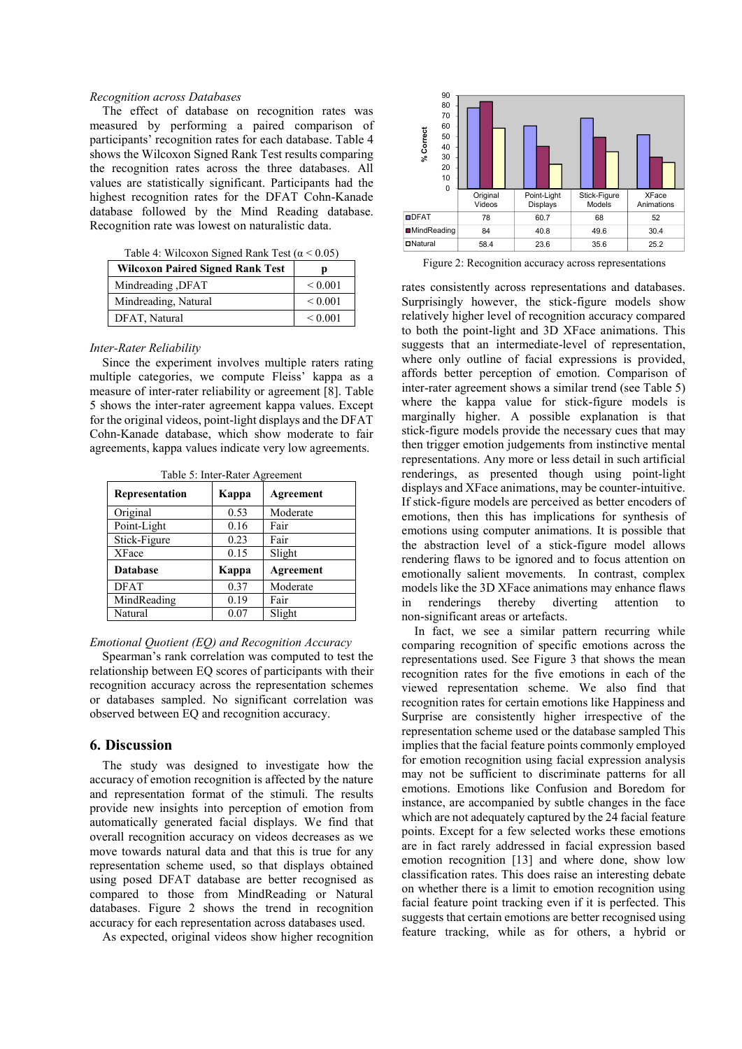### *Recognition across Databases*

The effect of database on recognition rates was measured by performing a paired comparison of participants' recognition rates for each database. Table 4 shows the Wilcoxon Signed Rank Test results comparing the recognition rates across the three databases. All values are statistically significant. Participants had the highest recognition rates for the DFAT Cohn-Kanade database followed by the Mind Reading database. Recognition rate was lowest on naturalistic data.

| THE T. WHOONDED EXERCIT NOTE TO $(0.500)$ |              |
|-------------------------------------------|--------------|
| <b>Wilcoxon Paired Signed Rank Test</b>   |              |
| Mindreading , DFAT                        | ${}_{0.001}$ |
| Mindreading, Natural                      | ${}_{0.001}$ |
| DFAT, Natural                             | ${}_{0.001}$ |

Table 4: Wilcoxon Signed Rank Test  $(a < 0.05)$ 

#### *Inter-Rater Reliability*

Since the experiment involves multiple raters rating multiple categories, we compute Fleiss' kappa as a measure of inter-rater reliability or agreement [8]. Table 5 shows the inter-rater agreement kappa values. Except for the original videos, point-light displays and the DFAT Cohn-Kanade database, which show moderate to fair agreements, kappa values indicate very low agreements.

| Representation  | Kappa | Agreement |
|-----------------|-------|-----------|
| Original        | 0.53  | Moderate  |
| Point-Light     | 0.16  | Fair      |
| Stick-Figure    | 0.23  | Fair      |
| XFace           | 0.15  | Slight    |
| <b>Database</b> | Kappa | Agreement |
| <b>DFAT</b>     | 0.37  | Moderate  |
| MindReading     | 0.19  | Fair      |
| Natural         | 0.07  | Slight    |

Table 5: Inter-Rater Agreement

*Emotional Quotient (EQ) and Recognition Accuracy*

Spearman's rank correlation was computed to test the relationship between EQ scores of participants with their recognition accuracy across the representation schemes or databases sampled. No significant correlation was observed between EQ and recognition accuracy.

### **6. Discussion**

The study was designed to investigate how the accuracy of emotion recognition is affected by the nature and representation format of the stimuli. The results provide new insights into perception of emotion from automatically generated facial displays. We find that overall recognition accuracy on videos decreases as we move towards natural data and that this is true for any representation scheme used, so that displays obtained using posed DFAT database are better recognised as compared to those from MindReading or Natural databases. Figure 2 shows the trend in recognition accuracy for each representation across databases used.

As expected, original videos show higher recognition



Figure 2: Recognition accuracy across representations

rates consistently across representations and databases. Surprisingly however, the stick-figure models show relatively higher level of recognition accuracy compared to both the point-light and 3D XFace animations. This suggests that an intermediate-level of representation, where only outline of facial expressions is provided, affords better perception of emotion. Comparison of inter-rater agreement shows a similar trend (see Table 5) where the kappa value for stick-figure models is marginally higher. A possible explanation is that stick-figure models provide the necessary cues that may then trigger emotion judgements from instinctive mental representations. Any more or less detail in such artificial renderings, as presented though using point-light displays and XFace animations, may be counter-intuitive. If stick-figure models are perceived as better encoders of emotions, then this has implications for synthesis of emotions using computer animations. It is possible that the abstraction level of a stick-figure model allows rendering flaws to be ignored and to focus attention on emotionally salient movements. In contrast, complex models like the 3D XFace animations may enhance flaws in renderings thereby diverting attention to non-significant areas or artefacts.

In fact, we see a similar pattern recurring while comparing recognition of specific emotions across the representations used. See Figure 3 that shows the mean recognition rates for the five emotions in each of the viewed representation scheme. We also find that recognition rates for certain emotions like Happiness and Surprise are consistently higher irrespective of the representation scheme used or the database sampled This implies that the facial feature points commonly employed for emotion recognition using facial expression analysis may not be sufficient to discriminate patterns for all emotions. Emotions like Confusion and Boredom for instance, are accompanied by subtle changes in the face which are not adequately captured by the 24 facial feature points. Except for a few selected works these emotions are in fact rarely addressed in facial expression based emotion recognition [13] and where done, show low classification rates. This does raise an interesting debate on whether there is a limit to emotion recognition using facial feature point tracking even if it is perfected. This suggests that certain emotions are better recognised using feature tracking, while as for others, a hybrid or